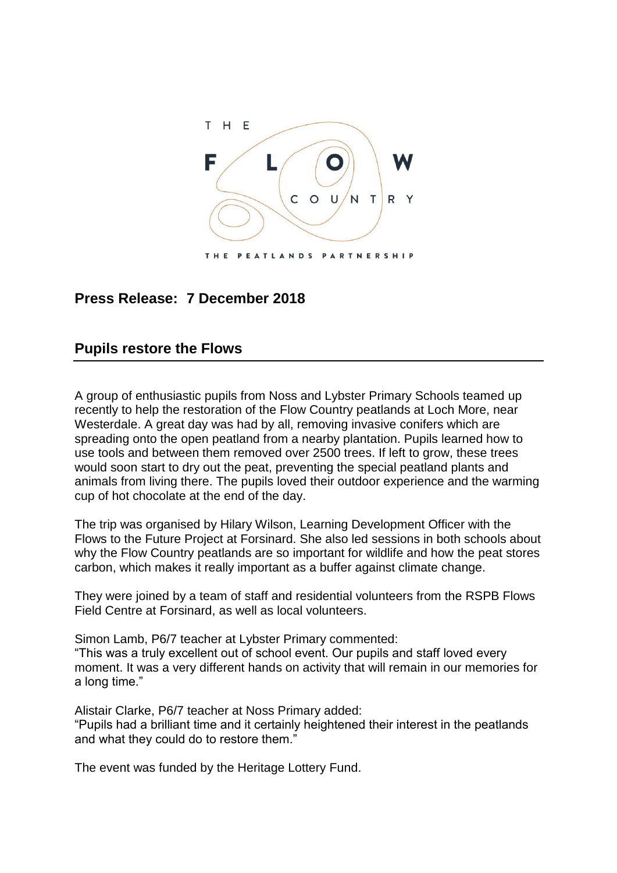

## **Press Release: 7 December 2018**

## **Pupils restore the Flows**

A group of enthusiastic pupils from Noss and Lybster Primary Schools teamed up recently to help the restoration of the Flow Country peatlands at Loch More, near Westerdale. A great day was had by all, removing invasive conifers which are spreading onto the open peatland from a nearby plantation. Pupils learned how to use tools and between them removed over 2500 trees. If left to grow, these trees would soon start to dry out the peat, preventing the special peatland plants and animals from living there. The pupils loved their outdoor experience and the warming cup of hot chocolate at the end of the day.

The trip was organised by Hilary Wilson, Learning Development Officer with the Flows to the Future Project at Forsinard. She also led sessions in both schools about why the Flow Country peatlands are so important for wildlife and how the peat stores carbon, which makes it really important as a buffer against climate change.

They were joined by a team of staff and residential volunteers from the RSPB Flows Field Centre at Forsinard, as well as local volunteers.

Simon Lamb, P6/7 teacher at Lybster Primary commented:

"This was a truly excellent out of school event. Our pupils and staff loved every moment. It was a very different hands on activity that will remain in our memories for a long time."

Alistair Clarke, P6/7 teacher at Noss Primary added: "Pupils had a brilliant time and it certainly heightened their interest in the peatlands and what they could do to restore them."

The event was funded by the Heritage Lottery Fund.